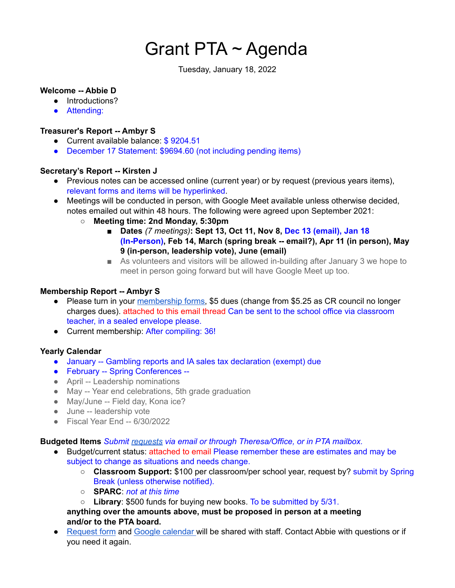# Grant PTA ~ Agenda

Tuesday, January 18, 2022

### **Welcome -- Abbie D**

- Introductions?
- Attending:

## **Treasurer's Report -- Ambyr S**

- Current available balance: \$9204.51
- December 17 Statement: \$9694.60 (not including pending items)

### **Secretary's Report -- Kirsten J**

- Previous notes can be accessed online (current year) or by request (previous years items), relevant forms and items will be hyperlinked.
- Meetings will be conducted in person, with Google Meet available unless otherwise decided, notes emailed out within 48 hours. The following were agreed upon September 2021:
	- **○ Meeting time: 2nd Monday, 5:30pm**
		- **■ Dates** *(7 meetings)***: Sept 13, Oct 11, Nov 8, Dec 13 (email), Jan 18 (In-Person), Feb 14, March (spring break -- email?), Apr 11 (in person), May 9 (in-person, leadership vote), June (email)**
		- As volunteers and visitors will be allowed in-building after January 3 we hope to meet in person going forward but will have Google Meet up too.

## **Membership Report -- Ambyr S**

- Please turn in your [membership](https://docs.google.com/document/u/6/d/1uPbiR6U21vNWAVk0MlDmTQn7ribgQYQ9j_b-uv61O-I/edit) forms, \$5 dues (change from \$5.25 as CR council no longer charges dues). attached to this email thread Can be sent to the school office via classroom teacher, in a sealed envelope please.
- Current membership: After compiling: 36!

## **Yearly Calendar**

- January -- Gambling reports and IA sales tax declaration (exempt) due
- February -- Spring Conferences --
- April -- Leadership nominations
- May -- Year end celebrations, 5th grade graduation
- May/June -- Field day, Kona ice?
- June -- leadership vote
- Fiscal Year End -- 6/30/2022

### **Budgeted Items** *Submit [requests](https://docs.google.com/document/u/6/d/1OlETgmfD3qSoYtYsMDUqpsSMnpwpmOnR4nUDpWTviIc/edit) via email or through Theresa/Office, or in PTA mailbox.*

- Budget/current status: attached to email Please remember these are estimates and may be subject to change as situations and needs change.
	- **Classroom Support:** \$100 per classroom/per school year, request by? submit by Spring Break (unless otherwise notified).
	- **SPARC**: *not at this time*
	- **Library**: \$500 funds for buying new books. To be submitted by 5/31.
	- **anything over the amounts above, must be proposed in person at a meeting and/or to the PTA board.**
- [Request](https://docs.google.com/document/u/6/d/1OlETgmfD3qSoYtYsMDUqpsSMnpwpmOnR4nUDpWTviIc/edit) form and Google [calendar](https://calendar.google.com/calendar/u/6?cid=Z3JhbnRlbGVtZW50YXJ5c2Nob29sY3IucHRhQGdtYWlsLmNvbQ) will be shared with staff. Contact Abbie with questions or if you need it again.